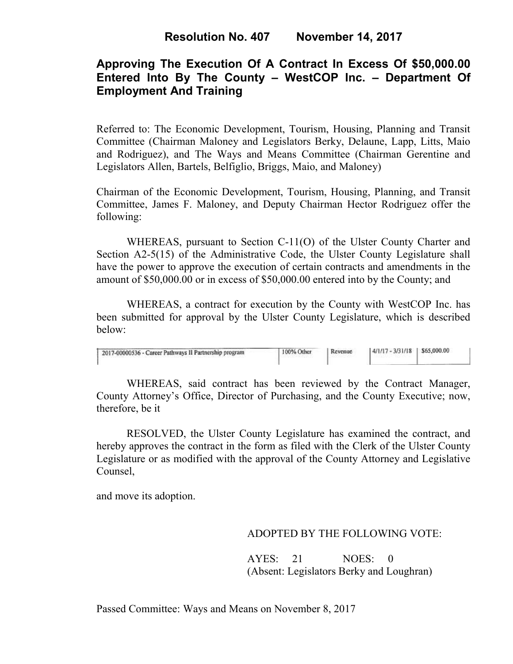# **Approving The Execution Of A Contract In Excess Of \$50,000.00 Entered Into By The County – WestCOP Inc. – Department Of Employment And Training**

Referred to: The Economic Development, Tourism, Housing, Planning and Transit Committee (Chairman Maloney and Legislators Berky, Delaune, Lapp, Litts, Maio and Rodriguez), and The Ways and Means Committee (Chairman Gerentine and Legislators Allen, Bartels, Belfiglio, Briggs, Maio, and Maloney)

Chairman of the Economic Development, Tourism, Housing, Planning, and Transit Committee, James F. Maloney, and Deputy Chairman Hector Rodriguez offer the following:

WHEREAS, pursuant to Section C-11(O) of the Ulster County Charter and Section A2-5(15) of the Administrative Code, the Ulster County Legislature shall have the power to approve the execution of certain contracts and amendments in the amount of \$50,000.00 or in excess of \$50,000.00 entered into by the County; and

 WHEREAS, a contract for execution by the County with WestCOP Inc. has been submitted for approval by the Ulster County Legislature, which is described below:

| 2017-00000536 - Career Pathways II Partnership program | 100% Other | Revenue | $14/1/17 - 3/31/18$   \$65,000.00 |  |
|--------------------------------------------------------|------------|---------|-----------------------------------|--|
|                                                        |            |         |                                   |  |

WHEREAS, said contract has been reviewed by the Contract Manager, County Attorney's Office, Director of Purchasing, and the County Executive; now, therefore, be it

RESOLVED, the Ulster County Legislature has examined the contract, and hereby approves the contract in the form as filed with the Clerk of the Ulster County Legislature or as modified with the approval of the County Attorney and Legislative Counsel,

and move its adoption.

### ADOPTED BY THE FOLLOWING VOTE:

AYES: 21 NOES: 0 (Absent: Legislators Berky and Loughran)

Passed Committee: Ways and Means on November 8, 2017